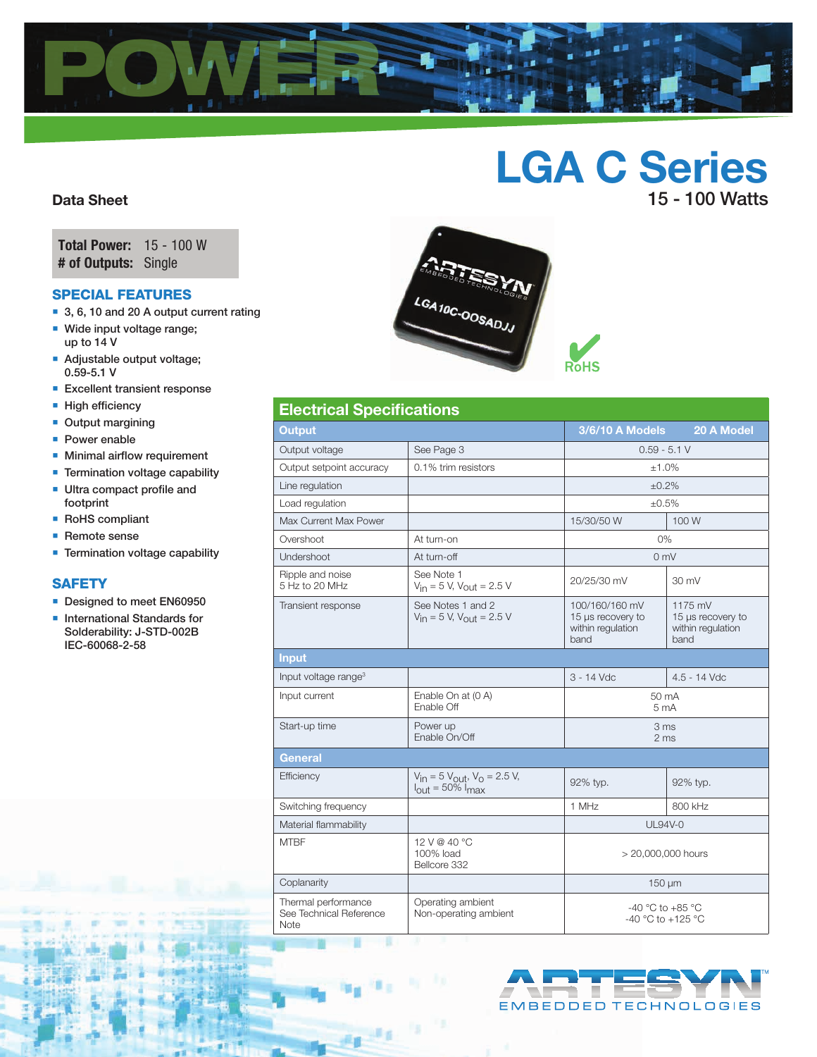

# LGA C Series 15 - 100 Watts

Data Sheet

Total Power: 15 - 100 W # of Outputs: Single

## Special features

- 3, 6, 10 and 20 A output current rating
- **Wide input voltage range;** up to 14 V
- **Adjustable output voltage;** 0.59-5.1 V
- **Excellent transient response**
- **High efficiency**
- **Output margining**
- **Power enable**
- **Minimal airflow requirement**
- **Termination voltage capability**
- **Ultra compact profile and** footprint
- RoHS compliant
- Remote sense
- **Termination voltage capability**

### **SAFETY**

- Designed to meet EN60950
- **International Standards for** Solderability: J-STD-002B IEC-60068-2-58



| <b>Electrical Specifications</b>                       |                                                                                      |                                                                                                                               |              |  |  |  |  |
|--------------------------------------------------------|--------------------------------------------------------------------------------------|-------------------------------------------------------------------------------------------------------------------------------|--------------|--|--|--|--|
| <b>Output</b>                                          |                                                                                      | 3/6/10 A Models                                                                                                               | 20 A Model   |  |  |  |  |
| Output voltage                                         | See Page 3                                                                           | $0.59 - 5.1 V$                                                                                                                |              |  |  |  |  |
| Output setpoint accuracy                               | 0.1% trim resistors                                                                  | ±1.0%                                                                                                                         |              |  |  |  |  |
| Line regulation                                        |                                                                                      | ±0.2%                                                                                                                         |              |  |  |  |  |
| Load regulation                                        |                                                                                      | $+0.5%$                                                                                                                       |              |  |  |  |  |
| Max Current Max Power                                  |                                                                                      | 15/30/50 W                                                                                                                    | 100 W        |  |  |  |  |
| Overshoot                                              | At turn-on                                                                           | 0%                                                                                                                            |              |  |  |  |  |
| Undershoot                                             | At turn-off                                                                          | 0 <sub>mV</sub>                                                                                                               |              |  |  |  |  |
| Ripple and noise<br>5 Hz to 20 MHz                     | See Note 1<br>$V_{in} = 5$ V, $V_{out} = 2.5$ V                                      | 20/25/30 mV                                                                                                                   | 30 mV        |  |  |  |  |
| Transient response                                     | See Notes 1 and 2<br>$V_{in}$ = 5 V, $V_{out}$ = 2.5 V                               | 100/160/160 mV<br>1175 mV<br>15 µs recovery to<br>15 µs recovery to<br>within regulation<br>within regulation<br>band<br>band |              |  |  |  |  |
| <b>Input</b>                                           |                                                                                      |                                                                                                                               |              |  |  |  |  |
| Input voltage range <sup>3</sup>                       |                                                                                      | 3 - 14 Vdc                                                                                                                    | 4.5 - 14 Vdc |  |  |  |  |
| Input current                                          | Enable On at (0 A)<br>Enable Off                                                     | 50 mA<br>5 <sub>mA</sub>                                                                                                      |              |  |  |  |  |
| Start-up time                                          | Power up<br>Enable On/Off                                                            | 3 <sub>ms</sub><br>2 ms                                                                                                       |              |  |  |  |  |
| <b>General</b>                                         |                                                                                      |                                                                                                                               |              |  |  |  |  |
| Efficiency                                             | $V_{in} = 5 V_{out}$ , $V_{0} = 2.5 V$ ,<br>$I_{\text{out}} = 50\%$ I <sub>max</sub> | 92% typ.                                                                                                                      | 92% typ.     |  |  |  |  |
| Switching frequency                                    |                                                                                      | 1 MHz                                                                                                                         | 800 kHz      |  |  |  |  |
| Material flammability                                  |                                                                                      | <b>UL94V-0</b>                                                                                                                |              |  |  |  |  |
| <b>MTBF</b>                                            | 12 V @ 40 °C<br>100% load<br>Bellcore 332                                            | > 20,000,000 hours                                                                                                            |              |  |  |  |  |
| Coplanarity                                            |                                                                                      | $150 \mu m$                                                                                                                   |              |  |  |  |  |
| Thermal performance<br>See Technical Reference<br>Note | Operating ambient<br>Non-operating ambient                                           | $-40$ °C to $+85$ °C<br>$-40$ °C to $+125$ °C                                                                                 |              |  |  |  |  |

Ps.

进言

进底

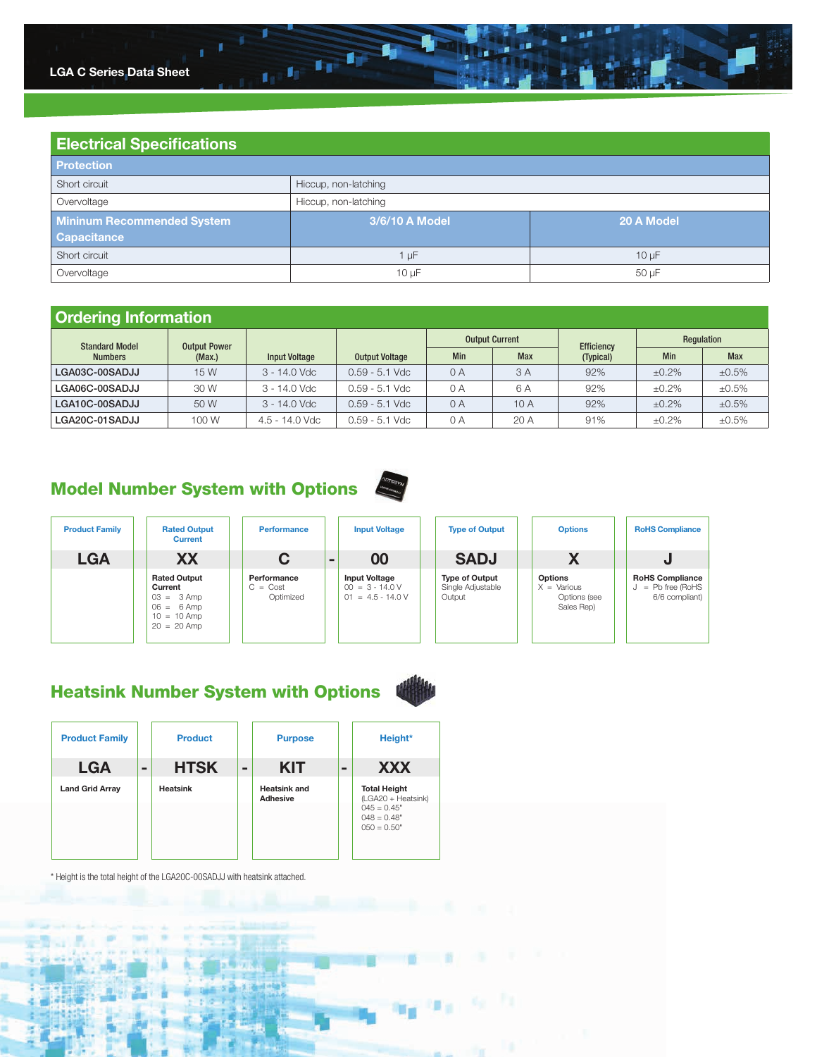

| <b>Electrical Specifications</b>  |                              |            |  |  |  |  |  |
|-----------------------------------|------------------------------|------------|--|--|--|--|--|
| <b>Protection</b>                 |                              |            |  |  |  |  |  |
| Short circuit                     | Hiccup, non-latching         |            |  |  |  |  |  |
| Overvoltage                       | Hiccup, non-latching         |            |  |  |  |  |  |
| <b>Mininum Recommended System</b> | 3/6/10 A Model<br>20 A Model |            |  |  |  |  |  |
| <b>Capacitance</b>                |                              |            |  |  |  |  |  |
| Short circuit                     | $1 \mu F$                    | $10 \mu F$ |  |  |  |  |  |
| Overvoltage                       | 50 µF<br>$10 \mu F$          |            |  |  |  |  |  |

 $10^{-10}$ 

# Ordering Information

| <b>Standard Model</b><br><b>Output Power</b> |        |                      |                                                   |     | <b>Output Current</b> | Efficiency | Regulation |             |  |
|----------------------------------------------|--------|----------------------|---------------------------------------------------|-----|-----------------------|------------|------------|-------------|--|
| <b>Numbers</b>                               | (Max.) | <b>Input Voltage</b> | <b>Min</b><br><b>Max</b><br><b>Output Voltage</b> |     |                       | (Typical)  | Min        | <b>Max</b>  |  |
| LGA03C-00SADJJ                               | 15 W   | 3 - 14.0 Vdc         | $0.59 - 5.1$ Vdc                                  | 0 A | 3 A                   | 92%        | $±0.2\%$   | ±0.5%       |  |
| LGA06C-00SADJJ                               | 30 W   | 3 - 14.0 Vdc         | $0.59 - 5.1$ Vdc                                  | 0 A | 6 A                   | 92%        | $±0.2\%$   | $\pm 0.5\%$ |  |
| LGA10C-00SADJJ                               | 50 W   | $3 - 14.0$ Vdc       | $0.59 - 5.1$ Vdc                                  | 0A  | 10 A                  | 92%        | $±0.2\%$   | ±0.5%       |  |
| LGA20C-01SADJJ                               | 100 W  | $4.5 - 14.0$ Vdc     | $0.59 - 5.1$ Vdc                                  | 0 A | 20 A                  | 91%        | $±0.2\%$   | ±0.5%       |  |

# Model Number System with Options



| <b>Product Family</b> | <b>Rated Output</b><br><b>Current</b>                                                            | <b>Performance</b>                     |                | <b>Input Voltage</b>                                             | <b>Type of Output</b>                                | <b>Options</b>                                                       | <b>RoHS Compliance</b>                                        |
|-----------------------|--------------------------------------------------------------------------------------------------|----------------------------------------|----------------|------------------------------------------------------------------|------------------------------------------------------|----------------------------------------------------------------------|---------------------------------------------------------------|
| <b>LGA</b>            | <b>XX</b>                                                                                        | C                                      | $\blacksquare$ | 00                                                               | <b>SADJ</b>                                          | ⋀                                                                    |                                                               |
|                       | <b>Rated Output</b><br>Current<br>$03 = 3$ Amp<br>$06 = 6$ Amp<br>$10 = 10$ Amp<br>$20 = 20$ Amp | Performance<br>$C = Cost$<br>Optimized |                | <b>Input Voltage</b><br>$00 = 3 - 14.0 V$<br>$01 = 4.5 - 14.0 V$ | <b>Type of Output</b><br>Single Adjustable<br>Output | <b>Options</b><br>$X = \text{Various}$<br>Options (see<br>Sales Rep) | <b>RoHS Compliance</b><br>$=$ Pb free (RoHS<br>6/6 compliant) |

# Heatsink Number System with Options

| <b>Product Family</b>  |   | <b>Product</b>  | <b>Purpose</b>                  |   | Height*                                                                                       |
|------------------------|---|-----------------|---------------------------------|---|-----------------------------------------------------------------------------------------------|
| <b>LGA</b>             | - | <b>HTSK</b>     | <b>KIT</b>                      | - | <b>XXX</b>                                                                                    |
| <b>Land Grid Array</b> |   | <b>Heatsink</b> | <b>Heatsink and</b><br>Adhesive |   | <b>Total Height</b><br>(LGA20 + Heatsink)<br>$045 = 0.45"$<br>$048 = 0.48"$<br>$0.50 = 0.50"$ |

\* Height is the total height of the LGA20C-00SADJJ with heatsink attached.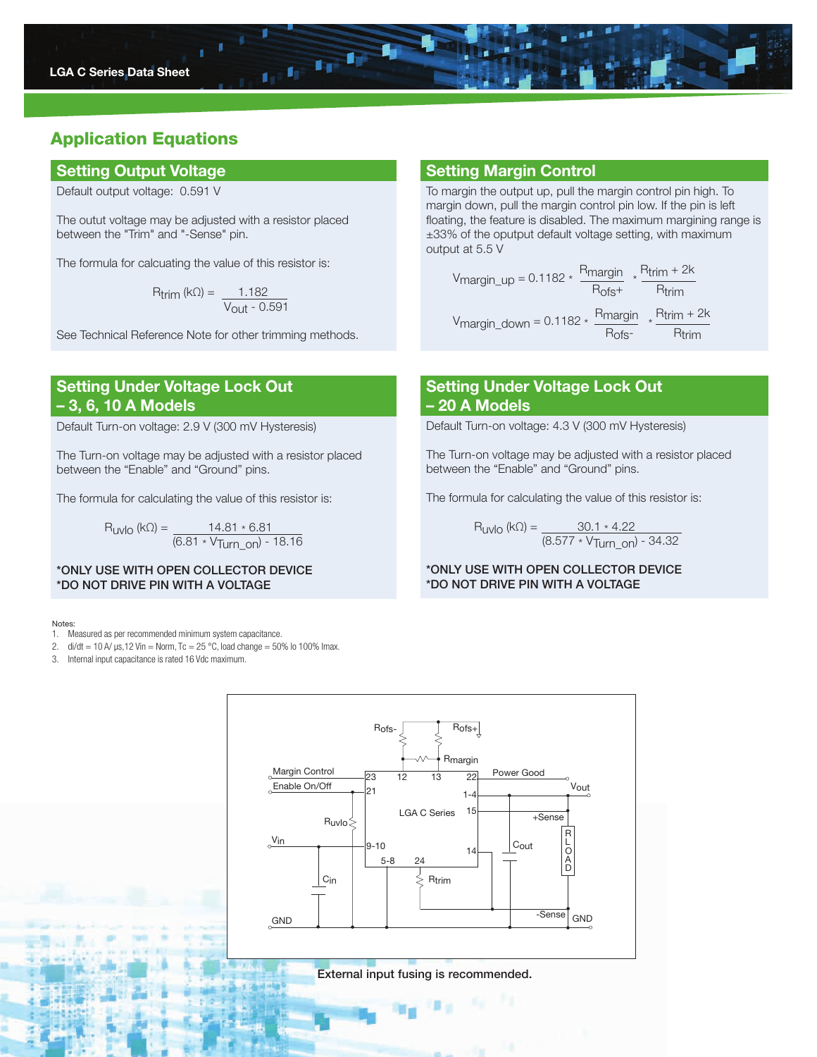

# Application Equations

## Setting Output Voltage Setting Margin Control

Default output voltage: 0.591 V

The outut voltage may be adjusted with a resistor placed between the "Trim" and "-Sense" pin.

The formula for calcuating the value of this resistor is:

$$
R_{\text{trim}}\,(\text{k}\Omega) = \frac{1.182}{V_{\text{out}} - 0.591}
$$

See Technical Reference Note for other trimming methods.

# Setting Under Voltage Lock Out – 3, 6, 10 A Models

Default Turn-on voltage: 2.9 V (300 mV Hysteresis)

The Turn-on voltage may be adjusted with a resistor placed between the "Enable" and "Ground" pins.

The formula for calculating the value of this resistor is:

 $R_{UVIO}$  (kΩ) =  $\underline{\qquad}$  14.81  $\star$  6.81 (6.81 \* VTurn\_on) - 18.16

\*ONLY USE WITH OPEN COLLECTOR DEVICE \*DO NOT DRIVE PIN WITH A VOLTAGE

### Notes:

- 1. Measured as per recommended minimum system capacitance.
- 2. di/dt = 10 A/  $\mu$ s, 12 Vin = Norm, Tc = 25 °C, load change = 50% lo 100% lmax.
- 3. Internal input capacitance is rated 16 Vdc maximum.

To margin the output up, pull the margin control pin high. To margin down, pull the margin control pin low. If the pin is left floating, the feature is disabled. The maximum margining range is ±33% of the oputput default voltage setting, with maximum output at 5.5 V

$$
V_{margin\_up} = 0.1182 \times \frac{R_{margin}}{R_{ofs} + \frac{R_{trim} + 2k}{R_{trim}}}
$$

$$
V_{margin\_down} = 0.1182 \times \frac{R_{margin}}{R_{ofs} + \frac{R_{trim} + 2k}{R_{trim}}}
$$

# Setting Under Voltage Lock Out – 20 A Models

Default Turn-on voltage: 4.3 V (300 mV Hysteresis)

The Turn-on voltage may be adjusted with a resistor placed between the "Enable" and "Ground" pins.

The formula for calculating the value of this resistor is:

$$
R_{UVIO} (k\Omega) = \frac{30.1 * 4.22}{(8.577 * V_{Turn\_on}) - 34.32}
$$

### \*ONLY USE WITH OPEN COLLECTOR DEVICE \*DO NOT DRIVE PIN WITH A VOLTAGE



External input fusing is recommended.